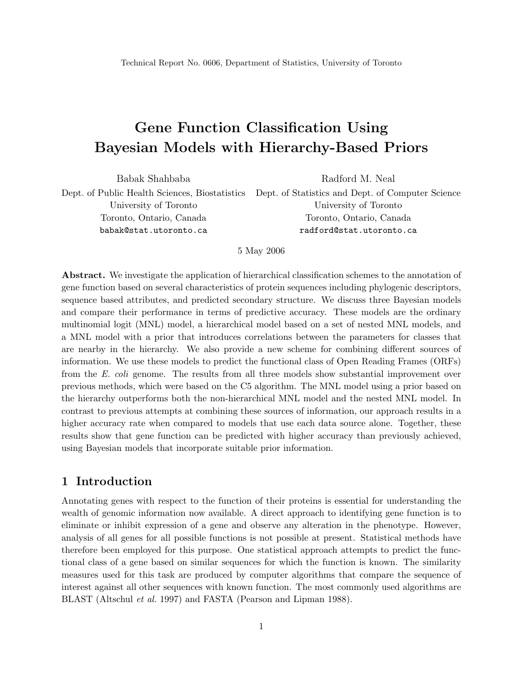# Gene Function Classification Using Bayesian Models with Hierarchy-Based Priors

Babak Shahbaba Dept. of Public Health Sciences, Biostatistics University of Toronto Toronto, Ontario, Canada babak@stat.utoronto.ca Radford M. Neal Dept. of Statistics and Dept. of Computer Science University of Toronto Toronto, Ontario, Canada radford@stat.utoronto.ca

5 May 2006

Abstract. We investigate the application of hierarchical classification schemes to the annotation of gene function based on several characteristics of protein sequences including phylogenic descriptors, sequence based attributes, and predicted secondary structure. We discuss three Bayesian models and compare their performance in terms of predictive accuracy. These models are the ordinary multinomial logit (MNL) model, a hierarchical model based on a set of nested MNL models, and a MNL model with a prior that introduces correlations between the parameters for classes that are nearby in the hierarchy. We also provide a new scheme for combining different sources of information. We use these models to predict the functional class of Open Reading Frames (ORFs) from the E. coli genome. The results from all three models show substantial improvement over previous methods, which were based on the C5 algorithm. The MNL model using a prior based on the hierarchy outperforms both the non-hierarchical MNL model and the nested MNL model. In contrast to previous attempts at combining these sources of information, our approach results in a higher accuracy rate when compared to models that use each data source alone. Together, these results show that gene function can be predicted with higher accuracy than previously achieved, using Bayesian models that incorporate suitable prior information.

#### 1 Introduction

Annotating genes with respect to the function of their proteins is essential for understanding the wealth of genomic information now available. A direct approach to identifying gene function is to eliminate or inhibit expression of a gene and observe any alteration in the phenotype. However, analysis of all genes for all possible functions is not possible at present. Statistical methods have therefore been employed for this purpose. One statistical approach attempts to predict the functional class of a gene based on similar sequences for which the function is known. The similarity measures used for this task are produced by computer algorithms that compare the sequence of interest against all other sequences with known function. The most commonly used algorithms are BLAST (Altschul et al. 1997) and FASTA (Pearson and Lipman 1988).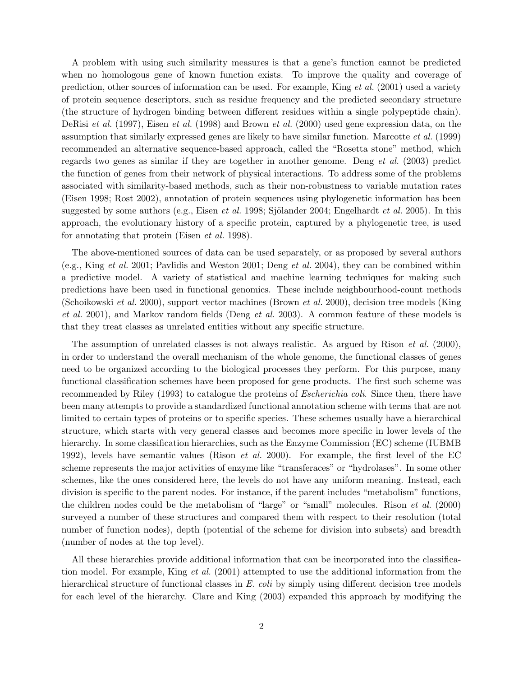A problem with using such similarity measures is that a gene's function cannot be predicted when no homologous gene of known function exists. To improve the quality and coverage of prediction, other sources of information can be used. For example, King et al. (2001) used a variety of protein sequence descriptors, such as residue frequency and the predicted secondary structure (the structure of hydrogen binding between different residues within a single polypeptide chain). DeRisi et al. (1997), Eisen et al. (1998) and Brown et al. (2000) used gene expression data, on the assumption that similarly expressed genes are likely to have similar function. Marcotte et al. (1999) recommended an alternative sequence-based approach, called the "Rosetta stone" method, which regards two genes as similar if they are together in another genome. Deng et al. (2003) predict the function of genes from their network of physical interactions. To address some of the problems associated with similarity-based methods, such as their non-robustness to variable mutation rates (Eisen 1998; Rost 2002), annotation of protein sequences using phylogenetic information has been suggested by some authors (e.g., Eisen *et al.* 1998; Sjölander 2004; Engelhardt *et al.* 2005). In this approach, the evolutionary history of a specific protein, captured by a phylogenetic tree, is used for annotating that protein (Eisen et al. 1998).

The above-mentioned sources of data can be used separately, or as proposed by several authors (e.g., King et al. 2001; Pavlidis and Weston 2001; Deng et al. 2004), they can be combined within a predictive model. A variety of statistical and machine learning techniques for making such predictions have been used in functional genomics. These include neighbourhood-count methods (Schoikowski et al. 2000), support vector machines (Brown et al. 2000), decision tree models (King et al. 2001), and Markov random fields (Deng et al. 2003). A common feature of these models is that they treat classes as unrelated entities without any specific structure.

The assumption of unrelated classes is not always realistic. As argued by Rison *et al.* (2000), in order to understand the overall mechanism of the whole genome, the functional classes of genes need to be organized according to the biological processes they perform. For this purpose, many functional classification schemes have been proposed for gene products. The first such scheme was recommended by Riley (1993) to catalogue the proteins of *Escherichia coli*. Since then, there have been many attempts to provide a standardized functional annotation scheme with terms that are not limited to certain types of proteins or to specific species. These schemes usually have a hierarchical structure, which starts with very general classes and becomes more specific in lower levels of the hierarchy. In some classification hierarchies, such as the Enzyme Commission (EC) scheme (IUBMB 1992), levels have semantic values (Rison et al. 2000). For example, the first level of the EC scheme represents the major activities of enzyme like "transferaces" or "hydrolases". In some other schemes, like the ones considered here, the levels do not have any uniform meaning. Instead, each division is specific to the parent nodes. For instance, if the parent includes "metabolism" functions, the children nodes could be the metabolism of "large" or "small" molecules. Rison et al. (2000) surveyed a number of these structures and compared them with respect to their resolution (total number of function nodes), depth (potential of the scheme for division into subsets) and breadth (number of nodes at the top level).

All these hierarchies provide additional information that can be incorporated into the classification model. For example, King et al. (2001) attempted to use the additional information from the hierarchical structure of functional classes in E. coli by simply using different decision tree models for each level of the hierarchy. Clare and King (2003) expanded this approach by modifying the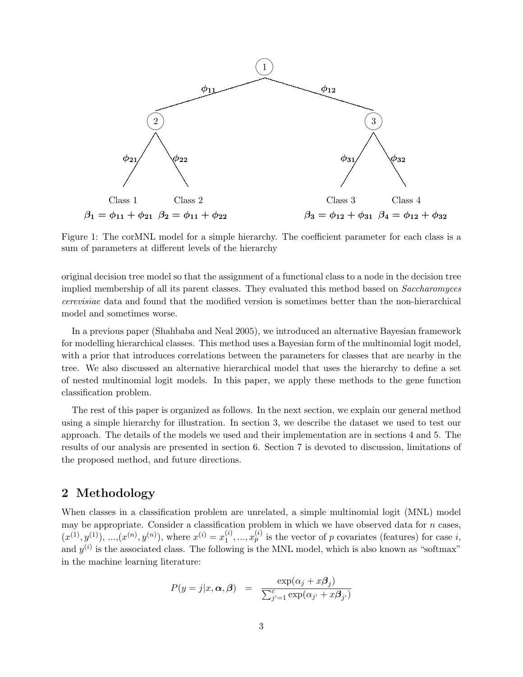

Figure 1: The corMNL model for a simple hierarchy. The coefficient parameter for each class is a sum of parameters at different levels of the hierarchy

original decision tree model so that the assignment of a functional class to a node in the decision tree implied membership of all its parent classes. They evaluated this method based on Saccharomyces cerevisiae data and found that the modified version is sometimes better than the non-hierarchical model and sometimes worse.

In a previous paper (Shahbaba and Neal 2005), we introduced an alternative Bayesian framework for modelling hierarchical classes. This method uses a Bayesian form of the multinomial logit model, with a prior that introduces correlations between the parameters for classes that are nearby in the tree. We also discussed an alternative hierarchical model that uses the hierarchy to define a set of nested multinomial logit models. In this paper, we apply these methods to the gene function classification problem.

The rest of this paper is organized as follows. In the next section, we explain our general method using a simple hierarchy for illustration. In section 3, we describe the dataset we used to test our approach. The details of the models we used and their implementation are in sections 4 and 5. The results of our analysis are presented in section 6. Section 7 is devoted to discussion, limitations of the proposed method, and future directions.

# 2 Methodology

When classes in a classification problem are unrelated, a simple multinomial logit (MNL) model may be appropriate. Consider a classification problem in which we have observed data for  $n$  cases,  $(x^{(1)}, y^{(1)}), ..., (x^{(n)}, y^{(n)}),$  where  $x^{(i)} = x_1^{(i)}$  $1<sup>(i)</sup>, ..., x<sup>(i)</sup>$  is the vector of p covariates (features) for case i, and  $y^{(i)}$  is the associated class. The following is the MNL model, which is also known as "softmax" in the machine learning literature:

$$
P(y=j|x,\boldsymbol{\alpha},\boldsymbol{\beta}) = \frac{\exp(\alpha_j + x\boldsymbol{\beta}_j)}{\sum_{j'=1}^c \exp(\alpha_{j'} + x\boldsymbol{\beta}_{j'})}
$$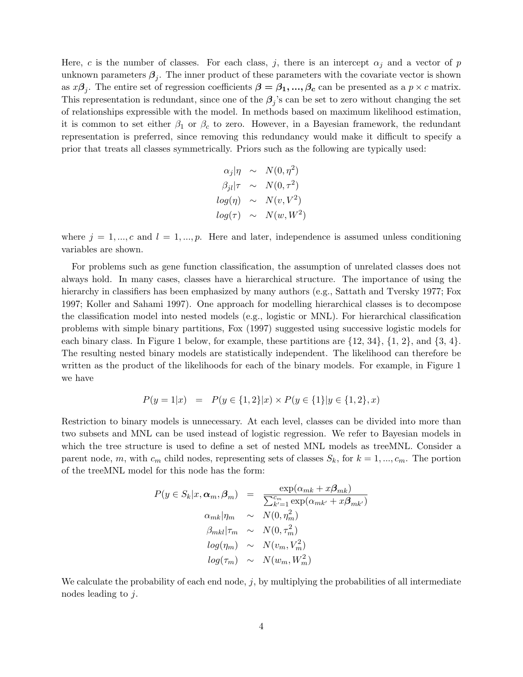Here, c is the number of classes. For each class, j, there is an intercept  $\alpha_i$  and a vector of p unknown parameters  $\beta_j$ . The inner product of these parameters with the covariate vector is shown as  $x\beta_j$ . The entire set of regression coefficients  $\beta = \beta_1, ..., \beta_c$  can be presented as a  $p \times c$  matrix. This representation is redundant, since one of the  $\beta_j$ 's can be set to zero without changing the set of relationships expressible with the model. In methods based on maximum likelihood estimation, it is common to set either  $\beta_1$  or  $\beta_c$  to zero. However, in a Bayesian framework, the redundant representation is preferred, since removing this redundancy would make it difficult to specify a prior that treats all classes symmetrically. Priors such as the following are typically used:

$$
\alpha_j |\eta \sim N(0, \eta^2)
$$
  
\n
$$
\beta_{jl} |\tau \sim N(0, \tau^2)
$$
  
\n
$$
log(\eta) \sim N(v, V^2)
$$
  
\n
$$
log(\tau) \sim N(w, W^2)
$$

where  $j = 1, ..., c$  and  $l = 1, ..., p$ . Here and later, independence is assumed unless conditioning variables are shown.

For problems such as gene function classification, the assumption of unrelated classes does not always hold. In many cases, classes have a hierarchical structure. The importance of using the hierarchy in classifiers has been emphasized by many authors (e.g., Sattath and Tversky 1977; Fox 1997; Koller and Sahami 1997). One approach for modelling hierarchical classes is to decompose the classification model into nested models (e.g., logistic or MNL). For hierarchical classification problems with simple binary partitions, Fox (1997) suggested using successive logistic models for each binary class. In Figure 1 below, for example, these partitions are  $\{12, 34\}$ ,  $\{1, 2\}$ , and  $\{3, 4\}$ . The resulting nested binary models are statistically independent. The likelihood can therefore be written as the product of the likelihoods for each of the binary models. For example, in Figure 1 we have

$$
P(y = 1|x) = P(y \in \{1, 2\}|x) \times P(y \in \{1\}|y \in \{1, 2\}, x)
$$

Restriction to binary models is unnecessary. At each level, classes can be divided into more than two subsets and MNL can be used instead of logistic regression. We refer to Bayesian models in which the tree structure is used to define a set of nested MNL models as treeMNL. Consider a parent node, m, with  $c_m$  child nodes, representing sets of classes  $S_k$ , for  $k = 1, ..., c_m$ . The portion of the treeMNL model for this node has the form:

$$
P(y \in S_k | x, \alpha_m, \beta_m) = \frac{\exp(\alpha_{mk} + x\beta_{mk})}{\sum_{k'=1}^{c_m} \exp(\alpha_{mk'} + x\beta_{mk'})}
$$

$$
\alpha_{mk} |\eta_m \sim N(0, \eta_m^2)
$$

$$
\beta_{mkl} |\tau_m \sim N(0, \tau_m^2)
$$

$$
log(\eta_m) \sim N(\upsilon_m, V_m^2)
$$

$$
log(\tau_m) \sim N(\upsilon_m, W_m^2)
$$

We calculate the probability of each end node,  $j$ , by multiplying the probabilities of all intermediate nodes leading to j.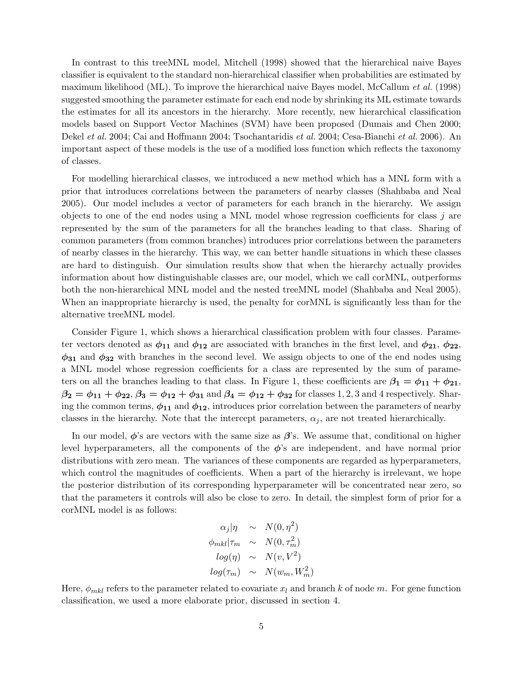In contrast to this treeMNL model, Mitchell (1998) showed that the hierarchical naive Bayes classifier is equivalent to the standard non-hierarchical classifier when probabilities are estimated by maximum likelihood (ML). To improve the hierarchical naive Bayes model, McCallum *et al.* (1998) suggested smoothing the parameter estimate for each end node by shrinking its ML estimate towards the estimates for all its ancestors in the hierarchy. More recently, new hierarchical classification models based on Support Vector Machines (SVM) have been proposed (Dumais and Chen 2000; Dekel et al. 2004; Cai and Hoffmann 2004; Tsochantaridis et al. 2004; Cesa-Bianchi et al. 2006). An important aspect of these models is the use of a modified loss function which reflects the taxonomy of classes.

For modelling hierarchical classes, we introduced a new method which has a MNL form with a prior that introduces correlations between the parameters of nearby classes (Shahbaba and Neal 2005). Our model includes a vector of parameters for each branch in the hierarchy. We assign objects to one of the end nodes using a MNL model whose regression coefficients for class  $j$  are represented by the sum of the parameters for all the branches leading to that class. Sharing of common parameters (from common branches) introduces prior correlations between the parameters of nearby classes in the hierarchy. This way, we can better handle situations in which these classes are hard to distinguish. Our simulation results show that when the hierarchy actually provides information about how distinguishable classes are, our model, which we call corMNL, outperforms both the non-hierarchical MNL model and the nested treeMNL model (Shahbaba and Neal 2005). When an inappropriate hierarchy is used, the penalty for corMNL is significantly less than for the alternative treeMNL model.

Consider Figure 1, which shows a hierarchical classification problem with four classes. Parameter vectors denoted as  $\phi_{11}$  and  $\phi_{12}$  are associated with branches in the first level, and  $\phi_{21}$ ,  $\phi_{22}$ ,  $\phi_{31}$  and  $\phi_{32}$  with branches in the second level. We assign objects to one of the end nodes using a MNL model whose regression coefficients for a class are represented by the sum of parameters on all the branches leading to that class. In Figure 1, these coefficients are  $\beta_1 = \phi_{11} + \phi_{21}$ ,  $\beta_2 = \phi_{11} + \phi_{22}, \beta_3 = \phi_{12} + \phi_{31}$  and  $\beta_4 = \phi_{12} + \phi_{32}$  for classes 1, 2, 3 and 4 respectively. Sharing the common terms,  $\phi_{11}$  and  $\phi_{12}$ , introduces prior correlation between the parameters of nearby classes in the hierarchy. Note that the intercept parameters,  $\alpha_j$ , are not treated hierarchically.

In our model,  $\phi$ 's are vectors with the same size as  $\beta$ 's. We assume that, conditional on higher level hyperparameters, all the components of the  $\phi$ 's are independent, and have normal prior distributions with zero mean. The variances of these components are regarded as hyperparameters, which control the magnitudes of coefficients. When a part of the hierarchy is irrelevant, we hope the posterior distribution of its corresponding hyperparameter will be concentrated near zero, so that the parameters it controls will also be close to zero. In detail, the simplest form of prior for a corMNL model is as follows:

$$
\alpha_j |\eta \sim N(0, \eta^2)
$$
  
\n
$$
\phi_{mkl} |\tau_m \sim N(0, \tau_m^2)
$$
  
\n
$$
log(\eta) \sim N(v, V^2)
$$
  
\n
$$
log(\tau_m) \sim N(w_m, W_m^2)
$$

Here,  $\phi_{mkl}$  refers to the parameter related to covariate  $x_l$  and branch k of node m. For gene function classification, we used a more elaborate prior, discussed in section 4.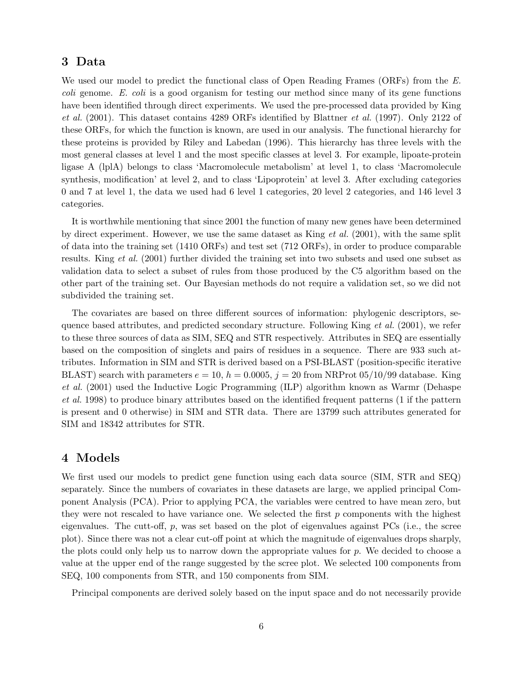#### 3 Data

We used our model to predict the functional class of Open Reading Frames (ORFs) from the E. coli genome. E. coli is a good organism for testing our method since many of its gene functions have been identified through direct experiments. We used the pre-processed data provided by King et al. (2001). This dataset contains 4289 ORFs identified by Blattner et al. (1997). Only 2122 of these ORFs, for which the function is known, are used in our analysis. The functional hierarchy for these proteins is provided by Riley and Labedan (1996). This hierarchy has three levels with the most general classes at level 1 and the most specific classes at level 3. For example, lipoate-protein ligase A (lplA) belongs to class 'Macromolecule metabolism' at level 1, to class 'Macromolecule synthesis, modification' at level 2, and to class 'Lipoprotein' at level 3. After excluding categories 0 and 7 at level 1, the data we used had 6 level 1 categories, 20 level 2 categories, and 146 level 3 categories.

It is worthwhile mentioning that since 2001 the function of many new genes have been determined by direct experiment. However, we use the same dataset as King  $et$  al. (2001), with the same split of data into the training set (1410 ORFs) and test set (712 ORFs), in order to produce comparable results. King et al. (2001) further divided the training set into two subsets and used one subset as validation data to select a subset of rules from those produced by the C5 algorithm based on the other part of the training set. Our Bayesian methods do not require a validation set, so we did not subdivided the training set.

The covariates are based on three different sources of information: phylogenic descriptors, sequence based attributes, and predicted secondary structure. Following King  $et al. (2001)$ , we refer to these three sources of data as SIM, SEQ and STR respectively. Attributes in SEQ are essentially based on the composition of singlets and pairs of residues in a sequence. There are 933 such attributes. Information in SIM and STR is derived based on a PSI-BLAST (position-specific iterative BLAST) search with parameters  $e = 10$ ,  $h = 0.0005$ ,  $j = 20$  from NRProt 05/10/99 database. King et al. (2001) used the Inductive Logic Programming (ILP) algorithm known as Warmr (Dehaspe et al. 1998) to produce binary attributes based on the identified frequent patterns (1 if the pattern is present and 0 otherwise) in SIM and STR data. There are 13799 such attributes generated for SIM and 18342 attributes for STR.

## 4 Models

We first used our models to predict gene function using each data source (SIM, STR and SEQ) separately. Since the numbers of covariates in these datasets are large, we applied principal Component Analysis (PCA). Prior to applying PCA, the variables were centred to have mean zero, but they were not rescaled to have variance one. We selected the first  $p$  components with the highest eigenvalues. The cutt-off,  $p$ , was set based on the plot of eigenvalues against PCs (i.e., the scree plot). Since there was not a clear cut-off point at which the magnitude of eigenvalues drops sharply, the plots could only help us to narrow down the appropriate values for  $p$ . We decided to choose a value at the upper end of the range suggested by the scree plot. We selected 100 components from SEQ, 100 components from STR, and 150 components from SIM.

Principal components are derived solely based on the input space and do not necessarily provide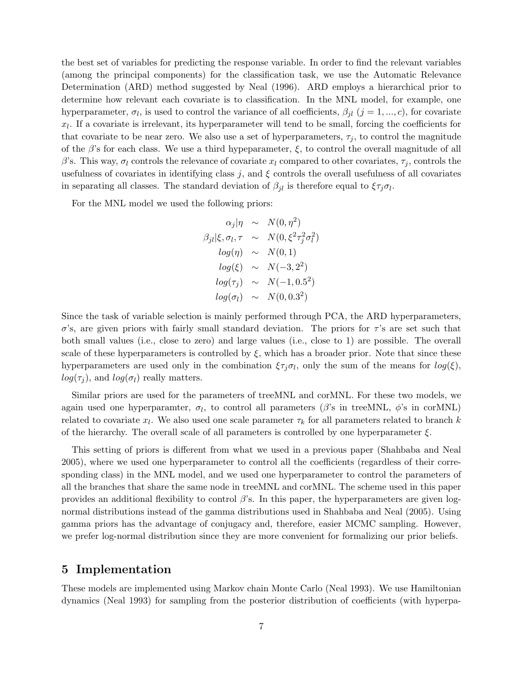the best set of variables for predicting the response variable. In order to find the relevant variables (among the principal components) for the classification task, we use the Automatic Relevance Determination (ARD) method suggested by Neal (1996). ARD employs a hierarchical prior to determine how relevant each covariate is to classification. In the MNL model, for example, one hyperparameter,  $\sigma_l$ , is used to control the variance of all coefficients,  $\beta_{jl}$   $(j = 1, ..., c)$ , for covariate  $x_l$ . If a covariate is irrelevant, its hyperparameter will tend to be small, forcing the coefficients for that covariate to be near zero. We also use a set of hyperparameters,  $\tau_i$ , to control the magnitude of the  $\beta$ 's for each class. We use a third hypeparameter,  $\xi$ , to control the overall magnitude of all β's. This way,  $\sigma_l$  controls the relevance of covariate  $x_l$  compared to other covariates,  $\tau_i$ , controls the usefulness of covariates in identifying class j, and  $\xi$  controls the overall usefulness of all covariates in separating all classes. The standard deviation of  $\beta_{jl}$  is therefore equal to  $\xi \tau_j \sigma_l$ .

For the MNL model we used the following priors:

$$
\alpha_j |\eta \sim N(0, \eta^2)
$$
  
\n
$$
\beta_{jl} |\xi, \sigma_l, \tau \sim N(0, \xi^2 \tau_j^2 \sigma_l^2)
$$
  
\n
$$
log(\eta) \sim N(0, 1)
$$
  
\n
$$
log(\xi) \sim N(-3, 2^2)
$$
  
\n
$$
log(\tau_j) \sim N(-1, 0.5^2)
$$
  
\n
$$
log(\sigma_l) \sim N(0, 0.3^2)
$$

Since the task of variable selection is mainly performed through PCA, the ARD hyperparameters, σ's, are given priors with fairly small standard deviation. The priors for  $τ$ 's are set such that both small values (i.e., close to zero) and large values (i.e., close to 1) are possible. The overall scale of these hyperparameters is controlled by  $\xi$ , which has a broader prior. Note that since these hyperparameters are used only in the combination  $\xi \tau_j \sigma_l$ , only the sum of the means for  $log(\xi)$ ,  $log(\tau_i)$ , and  $log(\sigma_l)$  really matters.

Similar priors are used for the parameters of treeMNL and corMNL. For these two models, we again used one hyperparamter,  $\sigma_l$ , to control all parameters ( $\beta$ 's in treeMNL,  $\phi$ 's in corMNL) related to covariate  $x_l$ . We also used one scale parameter  $\tau_k$  for all parameters related to branch k of the hierarchy. The overall scale of all parameters is controlled by one hyperparameter  $\xi$ .

This setting of priors is different from what we used in a previous paper (Shahbaba and Neal 2005), where we used one hyperparameter to control all the coefficients (regardless of their corresponding class) in the MNL model, and we used one hyperparameter to control the parameters of all the branches that share the same node in treeMNL and corMNL. The scheme used in this paper provides an additional flexibility to control  $\beta$ 's. In this paper, the hyperparameters are given lognormal distributions instead of the gamma distributions used in Shahbaba and Neal (2005). Using gamma priors has the advantage of conjugacy and, therefore, easier MCMC sampling. However, we prefer log-normal distribution since they are more convenient for formalizing our prior beliefs.

## 5 Implementation

These models are implemented using Markov chain Monte Carlo (Neal 1993). We use Hamiltonian dynamics (Neal 1993) for sampling from the posterior distribution of coefficients (with hyperpa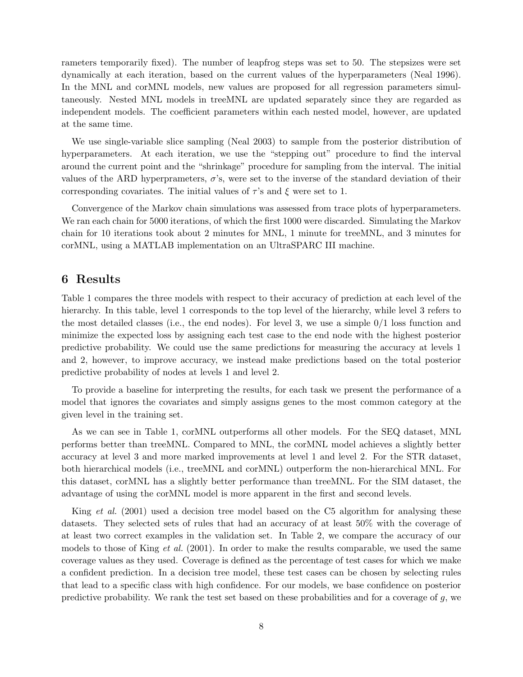rameters temporarily fixed). The number of leapfrog steps was set to 50. The stepsizes were set dynamically at each iteration, based on the current values of the hyperparameters (Neal 1996). In the MNL and corMNL models, new values are proposed for all regression parameters simultaneously. Nested MNL models in treeMNL are updated separately since they are regarded as independent models. The coefficient parameters within each nested model, however, are updated at the same time.

We use single-variable slice sampling (Neal 2003) to sample from the posterior distribution of hyperparameters. At each iteration, we use the "stepping out" procedure to find the interval around the current point and the "shrinkage" procedure for sampling from the interval. The initial values of the ARD hyperprameters,  $\sigma$ 's, were set to the inverse of the standard deviation of their corresponding covariates. The initial values of  $\tau$ 's and  $\xi$  were set to 1.

Convergence of the Markov chain simulations was assessed from trace plots of hyperparameters. We ran each chain for 5000 iterations, of which the first 1000 were discarded. Simulating the Markov chain for 10 iterations took about 2 minutes for MNL, 1 minute for treeMNL, and 3 minutes for corMNL, using a MATLAB implementation on an UltraSPARC III machine.

#### 6 Results

Table 1 compares the three models with respect to their accuracy of prediction at each level of the hierarchy. In this table, level 1 corresponds to the top level of the hierarchy, while level 3 refers to the most detailed classes (i.e., the end nodes). For level 3, we use a simple  $0/1$  loss function and minimize the expected loss by assigning each test case to the end node with the highest posterior predictive probability. We could use the same predictions for measuring the accuracy at levels 1 and 2, however, to improve accuracy, we instead make predictions based on the total posterior predictive probability of nodes at levels 1 and level 2.

To provide a baseline for interpreting the results, for each task we present the performance of a model that ignores the covariates and simply assigns genes to the most common category at the given level in the training set.

As we can see in Table 1, corMNL outperforms all other models. For the SEQ dataset, MNL performs better than treeMNL. Compared to MNL, the corMNL model achieves a slightly better accuracy at level 3 and more marked improvements at level 1 and level 2. For the STR dataset, both hierarchical models (i.e., treeMNL and corMNL) outperform the non-hierarchical MNL. For this dataset, corMNL has a slightly better performance than treeMNL. For the SIM dataset, the advantage of using the corMNL model is more apparent in the first and second levels.

King *et al.* (2001) used a decision tree model based on the C5 algorithm for analysing these datasets. They selected sets of rules that had an accuracy of at least 50% with the coverage of at least two correct examples in the validation set. In Table 2, we compare the accuracy of our models to those of King *et al.* (2001). In order to make the results comparable, we used the same coverage values as they used. Coverage is defined as the percentage of test cases for which we make a confident prediction. In a decision tree model, these test cases can be chosen by selecting rules that lead to a specific class with high confidence. For our models, we base confidence on posterior predictive probability. We rank the test set based on these probabilities and for a coverage of g, we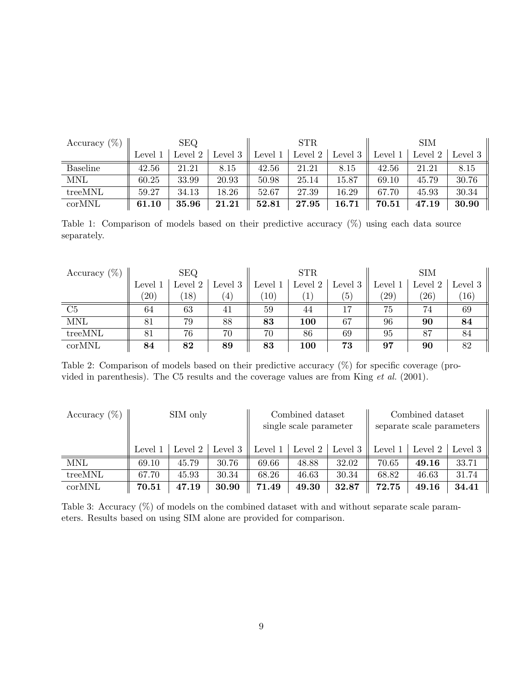| Accuracy $(\%)$ | <b>SEQ</b> |         |         | STR     |         |           | SIM         |         |         |
|-----------------|------------|---------|---------|---------|---------|-----------|-------------|---------|---------|
|                 | Level      | Level 2 | Level 3 | Level 1 | Level 2 | Level 3   | Level 1     | Level 2 | Level 3 |
| Baseline        | 42.56      | 21.21   | 8.15    | 42.56   | 21.21   | 8.15      | 42.56       | 21.21   | 8.15    |
| <b>MNL</b>      | 60.25      | 33.99   | 20.93   | 50.98   | 25.14   | $15.87\,$ | 69.10       | 45.79   | 30.76   |
| treeMNL         | 59.27      | 34.13   | 18.26   | 52.67   | 27.39   | $16.29\,$ | 67.70       | 45.93   | 30.34   |
| corMNL          | 61.10      | 35.96   | 21.21   | 52.81   | 27.95   | 16.71     | $\bf 70.51$ | 47.19   | 30.90   |

Table 1: Comparison of models based on their predictive accuracy (%) using each data source separately.

| Accuracy $(\%)$ | <b>SEQ</b> |              |                     | <b>STR</b> |             |           | <b>SIM</b> |                |         |
|-----------------|------------|--------------|---------------------|------------|-------------|-----------|------------|----------------|---------|
|                 | Level 1    | Level 2      | Level $3 \parallel$ | Level 1    | Level 2 $ $ | Level $3$ | Level 1    | Level 2 $ $    | Level 3 |
|                 | $^{(20)}$  | $ 18\rangle$ | $\left( 4\right)$   | 10)        |             | (5)       | $^{'}29)$  | $^{\prime}26)$ | (16)    |
| C <sub>5</sub>  | 64         | 63           | 41                  | 59         | 44          | 17        | 75         | 74             | 69      |
| <b>MNL</b>      | 81         | 79           | 88                  | 83         | <b>100</b>  | 67        | 96         | 90             | 84      |
| treeMNL         | 81         | 76           | 70                  | 70         | 86          | 69        | 95         | 87             | 84      |
| corMNL          | 84         | 82           | 89                  | 83         | <b>100</b>  | 73        | 97         | 90             | 82      |

Table 2: Comparison of models based on their predictive accuracy (%) for specific coverage (provided in parenthesis). The C5 results and the coverage values are from King et al. (2001).

| Accuracy $(\%)$ | SIM only |                 |                     | Combined dataset       |       |                   | Combined dataset          |                   |         |
|-----------------|----------|-----------------|---------------------|------------------------|-------|-------------------|---------------------------|-------------------|---------|
|                 |          |                 |                     | single scale parameter |       |                   | separate scale parameters |                   |         |
|                 |          |                 |                     |                        |       |                   |                           |                   |         |
|                 | Level 1  | Level 2 $\vert$ | Level $3 \parallel$ | Level $1 \mid$         |       | Level 2   Level 3 |                           | Level 1   Level 2 | Level 3 |
| <b>MNL</b>      | 69.10    | 45.79           | 30.76               | 69.66                  | 48.88 | 32.02             | 70.65                     | 49.16             | 33.71   |
| treeMNL         | 67.70    | 45.93           | 30.34               | 68.26                  | 46.63 | 30.34             | 68.82                     | 46.63             | 31.74   |
| corMNL          | 70.51    | 47.19           | 30.90               | 71.49                  | 49.30 | 32.87             | 72.75                     | 49.16             | 34.41   |

Table 3: Accuracy  $(\%)$  of models on the combined dataset with and without separate scale parameters. Results based on using SIM alone are provided for comparison.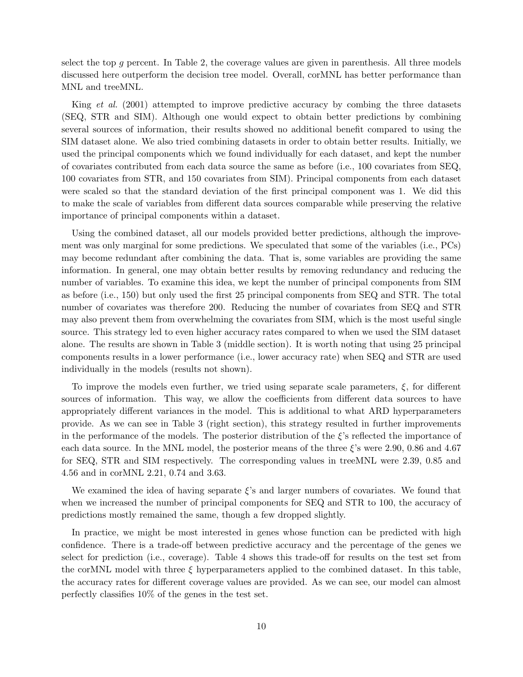select the top g percent. In Table 2, the coverage values are given in parenthesis. All three models discussed here outperform the decision tree model. Overall, corMNL has better performance than MNL and treeMNL.

King et al. (2001) attempted to improve predictive accuracy by combing the three datasets (SEQ, STR and SIM). Although one would expect to obtain better predictions by combining several sources of information, their results showed no additional benefit compared to using the SIM dataset alone. We also tried combining datasets in order to obtain better results. Initially, we used the principal components which we found individually for each dataset, and kept the number of covariates contributed from each data source the same as before (i.e., 100 covariates from SEQ, 100 covariates from STR, and 150 covariates from SIM). Principal components from each dataset were scaled so that the standard deviation of the first principal component was 1. We did this to make the scale of variables from different data sources comparable while preserving the relative importance of principal components within a dataset.

Using the combined dataset, all our models provided better predictions, although the improvement was only marginal for some predictions. We speculated that some of the variables (i.e., PCs) may become redundant after combining the data. That is, some variables are providing the same information. In general, one may obtain better results by removing redundancy and reducing the number of variables. To examine this idea, we kept the number of principal components from SIM as before (i.e., 150) but only used the first 25 principal components from SEQ and STR. The total number of covariates was therefore 200. Reducing the number of covariates from SEQ and STR may also prevent them from overwhelming the covariates from SIM, which is the most useful single source. This strategy led to even higher accuracy rates compared to when we used the SIM dataset alone. The results are shown in Table 3 (middle section). It is worth noting that using 25 principal components results in a lower performance (i.e., lower accuracy rate) when SEQ and STR are used individually in the models (results not shown).

To improve the models even further, we tried using separate scale parameters,  $\xi$ , for different sources of information. This way, we allow the coefficients from different data sources to have appropriately different variances in the model. This is additional to what ARD hyperparameters provide. As we can see in Table 3 (right section), this strategy resulted in further improvements in the performance of the models. The posterior distribution of the  $\xi$ 's reflected the importance of each data source. In the MNL model, the posterior means of the three  $\xi$ 's were 2.90, 0.86 and 4.67 for SEQ, STR and SIM respectively. The corresponding values in treeMNL were 2.39, 0.85 and 4.56 and in corMNL 2.21, 0.74 and 3.63.

We examined the idea of having separate  $\xi$ 's and larger numbers of covariates. We found that when we increased the number of principal components for SEQ and STR to 100, the accuracy of predictions mostly remained the same, though a few dropped slightly.

In practice, we might be most interested in genes whose function can be predicted with high confidence. There is a trade-off between predictive accuracy and the percentage of the genes we select for prediction (i.e., coverage). Table 4 shows this trade-off for results on the test set from the corMNL model with three  $\xi$  hyperparameters applied to the combined dataset. In this table, the accuracy rates for different coverage values are provided. As we can see, our model can almost perfectly classifies 10% of the genes in the test set.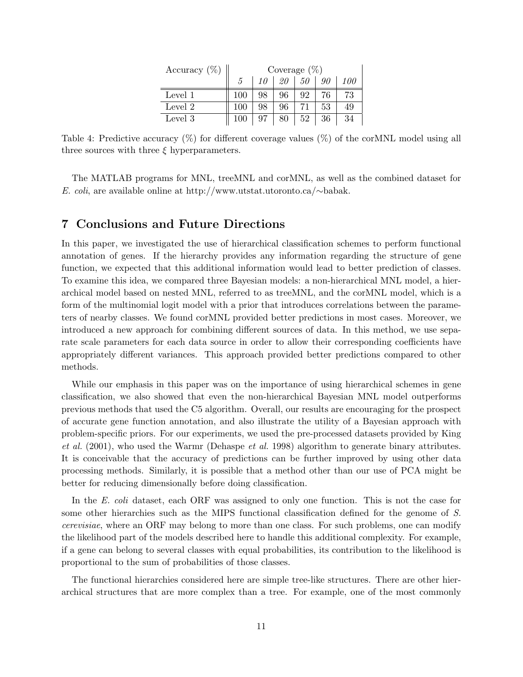| Accuracy $(\%)$ | Coverage $(\%)$ |    |    |    |    |     |
|-----------------|-----------------|----|----|----|----|-----|
|                 | 5               | 10 | 20 | 50 | 90 | 100 |
| Level 1         | 100             | 98 | 96 | 92 | 76 | 73  |
| Level 2         | 100             | 98 | 96 | 71 | 53 | 49  |
| Level 3         |                 |    | 80 | 52 | 36 | 34  |

Table 4: Predictive accuracy (%) for different coverage values (%) of the corMNL model using all three sources with three  $\xi$  hyperparameters.

The MATLAB programs for MNL, treeMNL and corMNL, as well as the combined dataset for E. coli, are available online at http://www.utstat.utoronto.ca/∼babak.

#### 7 Conclusions and Future Directions

In this paper, we investigated the use of hierarchical classification schemes to perform functional annotation of genes. If the hierarchy provides any information regarding the structure of gene function, we expected that this additional information would lead to better prediction of classes. To examine this idea, we compared three Bayesian models: a non-hierarchical MNL model, a hierarchical model based on nested MNL, referred to as treeMNL, and the corMNL model, which is a form of the multinomial logit model with a prior that introduces correlations between the parameters of nearby classes. We found corMNL provided better predictions in most cases. Moreover, we introduced a new approach for combining different sources of data. In this method, we use separate scale parameters for each data source in order to allow their corresponding coefficients have appropriately different variances. This approach provided better predictions compared to other methods.

While our emphasis in this paper was on the importance of using hierarchical schemes in gene classification, we also showed that even the non-hierarchical Bayesian MNL model outperforms previous methods that used the C5 algorithm. Overall, our results are encouraging for the prospect of accurate gene function annotation, and also illustrate the utility of a Bayesian approach with problem-specific priors. For our experiments, we used the pre-processed datasets provided by King et al. (2001), who used the Warmr (Dehaspe et al. 1998) algorithm to generate binary attributes. It is conceivable that the accuracy of predictions can be further improved by using other data processing methods. Similarly, it is possible that a method other than our use of PCA might be better for reducing dimensionally before doing classification.

In the E. coli dataset, each ORF was assigned to only one function. This is not the case for some other hierarchies such as the MIPS functional classification defined for the genome of S. cerevisiae, where an ORF may belong to more than one class. For such problems, one can modify the likelihood part of the models described here to handle this additional complexity. For example, if a gene can belong to several classes with equal probabilities, its contribution to the likelihood is proportional to the sum of probabilities of those classes.

The functional hierarchies considered here are simple tree-like structures. There are other hierarchical structures that are more complex than a tree. For example, one of the most commonly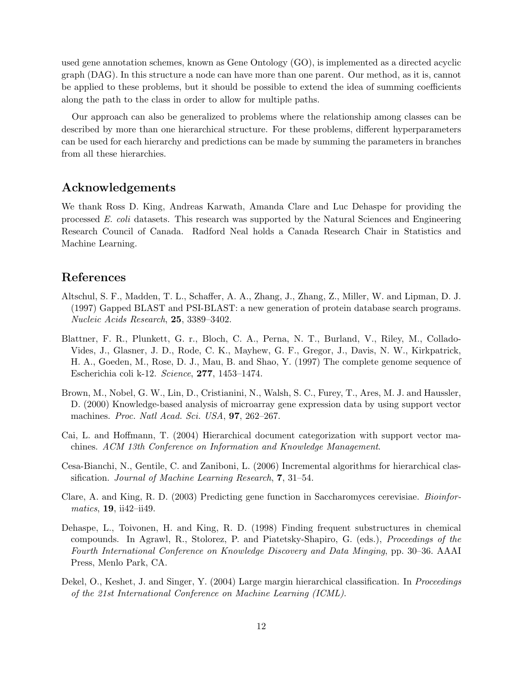used gene annotation schemes, known as Gene Ontology (GO), is implemented as a directed acyclic graph (DAG). In this structure a node can have more than one parent. Our method, as it is, cannot be applied to these problems, but it should be possible to extend the idea of summing coefficients along the path to the class in order to allow for multiple paths.

Our approach can also be generalized to problems where the relationship among classes can be described by more than one hierarchical structure. For these problems, different hyperparameters can be used for each hierarchy and predictions can be made by summing the parameters in branches from all these hierarchies.

## Acknowledgements

We thank Ross D. King, Andreas Karwath, Amanda Clare and Luc Dehaspe for providing the processed E. coli datasets. This research was supported by the Natural Sciences and Engineering Research Council of Canada. Radford Neal holds a Canada Research Chair in Statistics and Machine Learning.

# References

- Altschul, S. F., Madden, T. L., Schaffer, A. A., Zhang, J., Zhang, Z., Miller, W. and Lipman, D. J. (1997) Gapped BLAST and PSI-BLAST: a new generation of protein database search programs. Nucleic Acids Research, 25, 3389–3402.
- Blattner, F. R., Plunkett, G. r., Bloch, C. A., Perna, N. T., Burland, V., Riley, M., Collado-Vides, J., Glasner, J. D., Rode, C. K., Mayhew, G. F., Gregor, J., Davis, N. W., Kirkpatrick, H. A., Goeden, M., Rose, D. J., Mau, B. and Shao, Y. (1997) The complete genome sequence of Escherichia coli k-12. Science, 277, 1453–1474.
- Brown, M., Nobel, G. W., Lin, D., Cristianini, N., Walsh, S. C., Furey, T., Ares, M. J. and Haussler, D. (2000) Knowledge-based analysis of microarray gene expression data by using support vector machines. *Proc. Natl Acad. Sci. USA*, **97**, 262–267.
- Cai, L. and Hoffmann, T. (2004) Hierarchical document categorization with support vector machines. ACM 13th Conference on Information and Knowledge Management.
- Cesa-Bianchi, N., Gentile, C. and Zaniboni, L. (2006) Incremental algorithms for hierarchical classification. Journal of Machine Learning Research, 7, 31–54.
- Clare, A. and King, R. D. (2003) Predicting gene function in Saccharomyces cerevisiae. Bioinfor $matics, 19, ii42-ii49.$
- Dehaspe, L., Toivonen, H. and King, R. D. (1998) Finding frequent substructures in chemical compounds. In Agrawl, R., Stolorez, P. and Piatetsky-Shapiro, G. (eds.), Proceedings of the Fourth International Conference on Knowledge Discovery and Data Minging, pp. 30–36. AAAI Press, Menlo Park, CA.
- Dekel, O., Keshet, J. and Singer, Y. (2004) Large margin hierarchical classification. In *Proceedings* of the 21st International Conference on Machine Learning (ICML).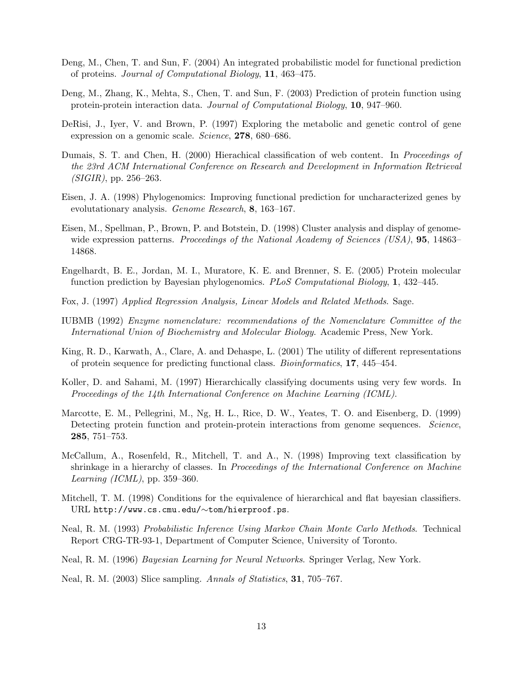- Deng, M., Chen, T. and Sun, F. (2004) An integrated probabilistic model for functional prediction of proteins. Journal of Computational Biology, 11, 463–475.
- Deng, M., Zhang, K., Mehta, S., Chen, T. and Sun, F. (2003) Prediction of protein function using protein-protein interaction data. Journal of Computational Biology, 10, 947–960.
- DeRisi, J., Iyer, V. and Brown, P. (1997) Exploring the metabolic and genetic control of gene expression on a genomic scale. Science, 278, 680–686.
- Dumais, S. T. and Chen, H. (2000) Hierachical classification of web content. In Proceedings of the 23rd ACM International Conference on Research and Development in Information Retrieval  $(SIGIR)$ , pp. 256–263.
- Eisen, J. A. (1998) Phylogenomics: Improving functional prediction for uncharacterized genes by evolutationary analysis. Genome Research, 8, 163–167.
- Eisen, M., Spellman, P., Brown, P. and Botstein, D. (1998) Cluster analysis and display of genomewide expression patterns. Proceedings of the National Academy of Sciences (USA), **95**, 14863– 14868.
- Engelhardt, B. E., Jordan, M. I., Muratore, K. E. and Brenner, S. E. (2005) Protein molecular function prediction by Bayesian phylogenomics. PLoS Computational Biology, 1, 432–445.
- Fox, J. (1997) Applied Regression Analysis, Linear Models and Related Methods. Sage.
- IUBMB (1992) Enzyme nomenclature: recommendations of the Nomenclature Committee of the International Union of Biochemistry and Molecular Biology. Academic Press, New York.
- King, R. D., Karwath, A., Clare, A. and Dehaspe, L. (2001) The utility of different representations of protein sequence for predicting functional class. Bioinformatics, 17, 445–454.
- Koller, D. and Sahami, M. (1997) Hierarchically classifying documents using very few words. In Proceedings of the 14th International Conference on Machine Learning (ICML).
- Marcotte, E. M., Pellegrini, M., Ng, H. L., Rice, D. W., Yeates, T. O. and Eisenberg, D. (1999) Detecting protein function and protein-protein interactions from genome sequences. Science, 285, 751–753.
- McCallum, A., Rosenfeld, R., Mitchell, T. and A., N. (1998) Improving text classification by shrinkage in a hierarchy of classes. In Proceedings of the International Conference on Machine Learning (ICML), pp. 359–360.
- Mitchell, T. M. (1998) Conditions for the equivalence of hierarchical and flat bayesian classifiers. URL http://www.cs.cmu.edu/∼tom/hierproof.ps.
- Neal, R. M. (1993) Probabilistic Inference Using Markov Chain Monte Carlo Methods. Technical Report CRG-TR-93-1, Department of Computer Science, University of Toronto.
- Neal, R. M. (1996) Bayesian Learning for Neural Networks. Springer Verlag, New York.
- Neal, R. M. (2003) Slice sampling. Annals of Statistics, **31**, 705–767.